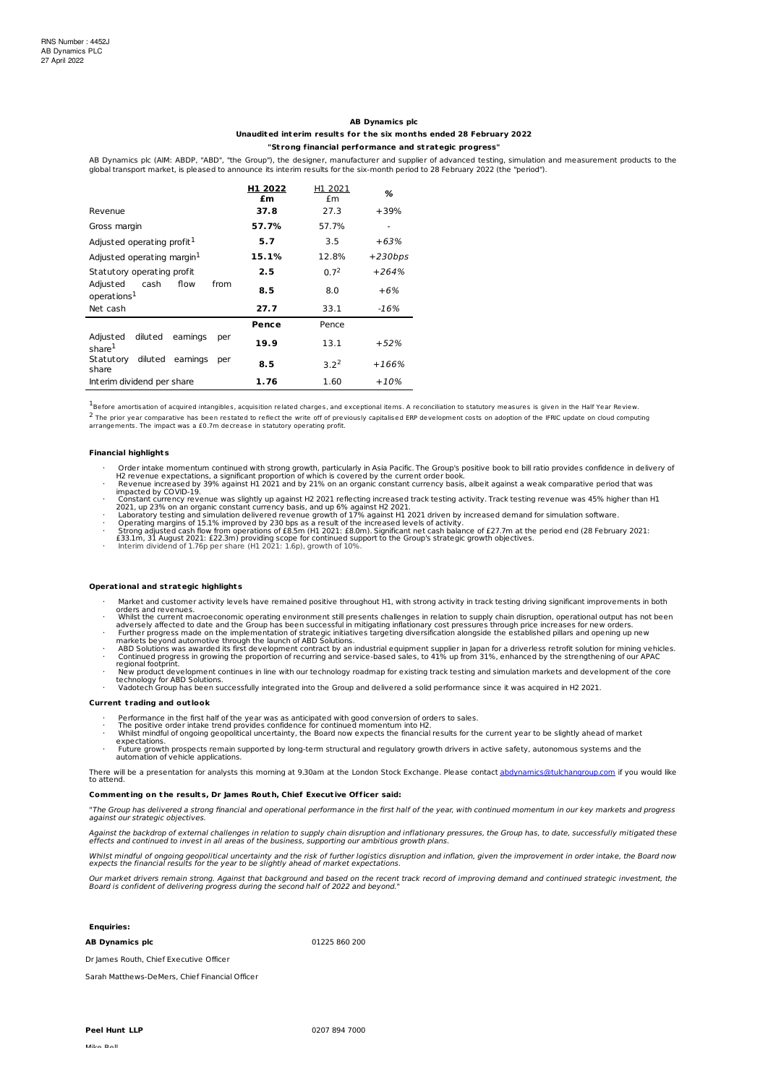# **AB Dynamics plc**

# **Unaudited interim results for t he six mont hs ended 28 February 2022**

# **"St rong financial performance and st rategic progress"**

AB Dynamics plc (AIM: ABDP, "ABD", "the Group"), the designer, manufacturer and supplier of advanced testing, simulation and measurement products to the global transport market, is pleased to announce its interim results for the six-month period to 28 February 2022 (the "period").

|                                                             | H1 2022<br>£m | H1 2021<br>£m    | %         |
|-------------------------------------------------------------|---------------|------------------|-----------|
| Revenue                                                     | 37.8          | 27.3             | $+39%$    |
| Gross margin                                                | 57.7%         | 57.7%            |           |
| Adjusted operating profit <sup>1</sup>                      | 5.7           | 3.5              | $+63%$    |
| Adjusted operating margin $1$                               | 15.1%         | 12.8%            | $+230bps$ |
| Statutory operating profit                                  | 2.5           | 0.7 <sup>2</sup> | $+264%$   |
| from<br>Adjusted<br>cash<br>flow<br>operations <sup>1</sup> | 8.5           | 8.0              | $+6%$     |
| Net cash                                                    | 27.7          | 33.1             | $-16%$    |
|                                                             | Pence         | Pence            |           |
| diluted<br>eamings<br>Adjusted<br>per<br>share <sup>1</sup> | 19.9          | 13.1             | $+52%$    |
| diluted<br>eamings<br>Statutory<br>per<br>share             | 8.5           | $3.2^2$          | $+166%$   |
| Interim dividend per share                                  | 1.76          | 1.60             | $+10%$    |

 $^{1}$ Before amortisation of acquired intangibles, acquisition related charges, and exceptional items. A reconciliation to statutory measures is given in the Half Year Review. <sup>2</sup> The prior year comparative has been restated to reflect the write off of previously capitalised ERP development costs on adoption of the IFRIC update on cloud computing<br>arrangements. The impact was a £0.7m decrease in

#### **Financial highlights**

- 
- Order intake momentum continued with strong growth, particularly in Asia Pacific. The Group's positive book to bill ratio provides confidence in delivery of<br>H2 revenue expectations, a significant proportion of which is cov
- 
- 
- 
- 

# **Operat ional and st rategic highlights**

- 
- Market and customer activity levels have remained positive throughout H1, with strong activity in track testing driving significant improvements in both<br>
orders and revenues.<br>
Whilst the current macroeconomic operating env
- 
- 
- 
- 

### **Current t rading and out look**

- 
- 
- · Performance in the first half of the year was as anticipated with good conversion of orders to sales.<br>· The positive order intake trend provides confidence for continued momentum into H2.<br>· Whilst mindful of
- expectations. · Future growth prospects remain supported by long-term structural and regulatory growth drivers in active safety, autonomous systems and the automation of vehicle applications.

There will be a presentation for analysts this morning at 9.30am at the London Stock Exchange. Please contact <u>[abdynamics@tulchangroup.com](mailto:abdynamics@tulchangroup.com)</u> if you would like<br>to attend.

# **Comment ing on t he results, Dr James Rout h, Chief Execut ive Officer said:**

"The Group has delivered a strong financial and operational performance in the first half of the year, with continued momentum in our key markets and progress against our strategic objectives.

Against the backdrop of external challenges in relation to supply chain disruption and inflationary pressures, the Group has, to date, successfully mitigated these<br>effects and continued to invest in all areas of the busine

Whilst mindful of ongoing geopolitical uncertainty and the risk of further logistics disruption and inflation, given the improvement in order intake, the Board now<br>expects the financial results for the year to be slightly

Our market drivers remain strong. Against that background and based on the recent track record of improving demand and continued strategic investment, the<br>Board is confident of delivering progress during the second half of

**Enquiries:**

# **AB Dynamics plc** 01225 860 200

Dr James Routh, Chief Executive Officer

Sarah Matthews-DeMers, Chief Financial Officer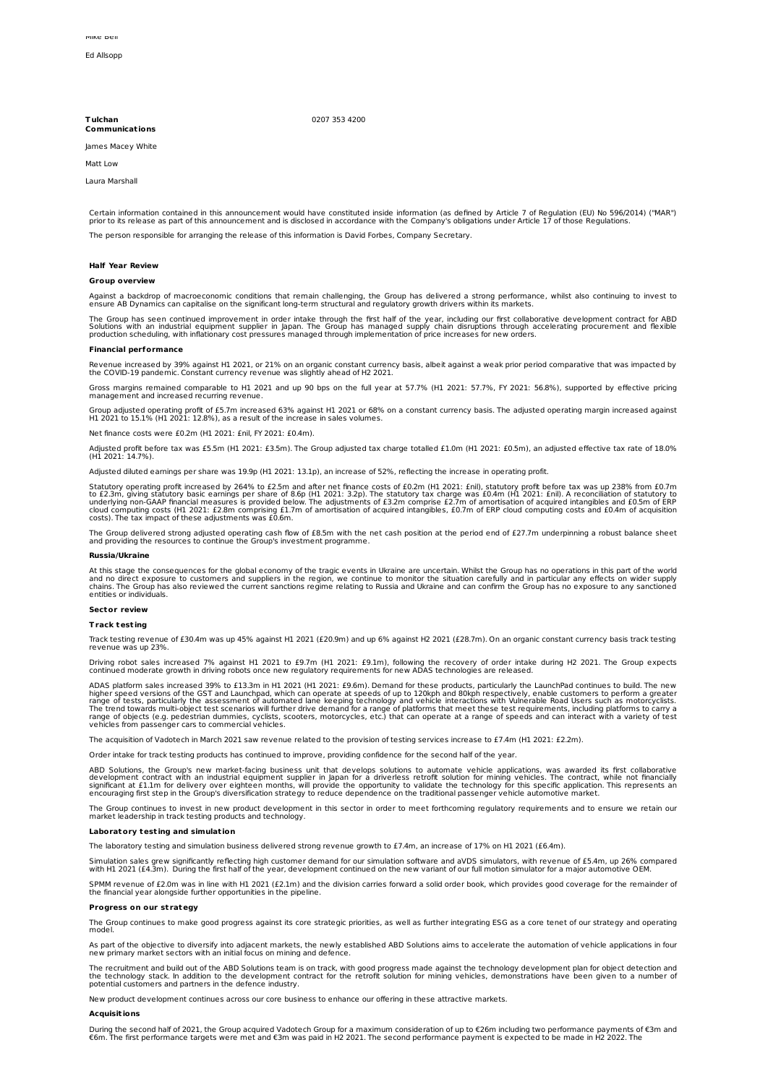#### **T ulchan Communicat ions**

## 0207 353 4200

James Macey White

Matt Low

Laura Marshall

Certain information contained in this announcement would have constituted inside information (as defined by Article 7 of Regulation (EU) No 596/2014) ("MAR")<br>prior to its release as part of this announcement and is disclos

The person responsible for arranging the release of this information is David Forbes, Company Secretary.

#### **Half Year Review**

#### **Group overview**

Against a backdrop of macroeconomic conditions that remain challenging, the Group has delivered a strong performance, whilst also continuing to invest to ensure AB Dynamics can capitalise on the significant long-term structural and regulatory growth drivers within its markets.

The Group has seen continued improvement in order intake through the first half of the year, including our first collaborative development contract for ABD<br>Solutions with an industrial equipment supplier in Japan. The Grou

### **Financial performance**

Revenue increased by 39% against H1 2021, or 21% on an organic constant currency basis, albeit against a weak prior period comparative that was impacted by<br>the COVID-19 pandemic. Constant currency revenue was slightly ahea

Gross margins remained comparable to H1 2021 and up 90 bps on the full year at 57.7% (H1 2021: 57.7%, FY 2021: 56.8%), supported by effective pricing management and increased recurring revenue.

Group adjusted operating profit of £5.7m increased 63% against H1 2021 or 68% on a constant currency basis. The adjusted operating margin increased against<br>H1 2021 to 15.1% (H1 2021: 12.8%), as a result of the increase in

Net finance costs were £0.2m (H1 2021: £nil, FY 2021: £0.4m).

Adjusted profit before tax was £5.5m (H1 2021: £3.5m). The Group adjusted tax charge totalled £1.0m (H1 2021: £0.5m), an adjusted effective tax rate of 18.0% (H1 2021: 14.7%).

Adjusted diluted earnings per share was 19.9p (H1 2021: 13.1p), an increase of 52%, reflecting the increase in operating profit.

Statutory operating profit increased by 264% to £2.5m and after net finance costs of £0.2m (H1 2021: £nil), statutory profit before tax was up 238% from £0.7m<br>to £2.3m, giving statutory basic earnings per share of 8.6p (H1

The Group delivered strong adjusted operating cash flow of £8.5m with the net cash position at the period end of £27.7m underpinning a robust balance sheet<br>and providing the resources to continue the Group's investment pro

## **Russia/Ukraine**

At this stage the consequences for the global economy of the tragic events in Ukraine are uncertain. Whilst the Group has no operations in this part of the world<br>and no direct exposure to customers and suppliers in the reg

#### **Sector review**

# **Track test ing**

Track testing revenue of £30.4m was up 45% against H1 2021 (£20.9m) and up 6% against H2 2021 (£28.7m). On an organic constant currency basis track testing revenue was up 23%.

Driving robot sales increased 7% against H1 2021 to £9.7m (H1 2021: £9.1m), following the recovery of order intake during H2 2021. The Group expects<br>continued moderate growth in driving robots once new regulatory requireme

ADAS platform sales increased 39% to £13.3m in H1 2021 (H1 2021: £9.6m). Demand for these products, particularly the LaunchPad continues to build. The new<br>higher speed versions of the GST and Launchpad, which can operate a

The acquisition of Vadotech in March 2021 saw revenue related to the provision of testing services increase to £7.4m (H1 2021: £2.2m).

Order intake for track testing products has continued to improve, providing confidence for the second half of the year.

ABD Solutions, the Group's new market-facing business unit that develops solutions to automate vehicle applications, was awarded its first collaborative<br>development contract with an industrial equipment supplier in Japan f

The Group continues to invest in new product development in this sector in order to meet forthcoming regulatory requirements and to ensure we retain our<br>market leadership in track testing products and technology.

# **Laboratory test ing and simulat ion**

The laboratory testing and simulation business delivered strong revenue growth to £7.4m, an increase of 17% on H1 2021 (£6.4m).

Simulation sales grew significantly reflecting high customer demand for our simulation software and aVDS simulators, with revenue of £5.4m, up 26% compared<br>with H1 2021 (£4.3m). During the first half of the year, developme

SPMM revenue of £2.0m was in line with H1 2021 (£2.1m) and the division carries forward a solid order book, which provides good coverage for the remainder of<br>the financial year alongside further opportunities in the pipeli

# **Progress on our st rategy**

The Group continues to make good progress against its core strategic priorities, as well as further integrating ESG as a core tenet of our strategy and operating model.

As part of the objective to diversify into adjacent markets, the newly established ABD Solutions aims to accelerate the automation of vehicle applications in four<br>new primary market sectors with an initial focus on mining

The recruitment and build out of the ABD Solutions team is on track, with good progress made against the technology development plan for object detection and<br>the technology stack. In addition to the development contract fo

New product development continues across our core business to enhance our offering in these attractive markets.

#### **Acquisit ions**

During the second half of 2021, the Group acquired Vadotech Group for a maximum consideration of up to €26m including two performance payments of €3m and<br>€6m. The first performance targets were met and €3m was paid in H2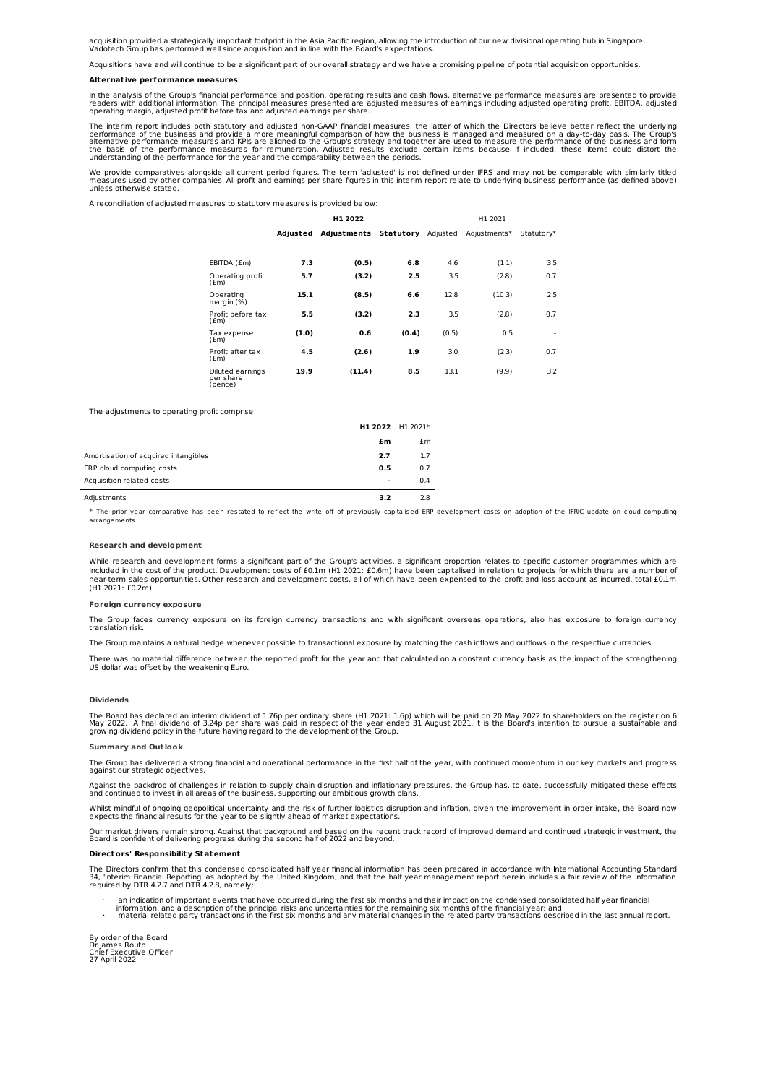acquisition provided a strategically important footprint in the Asia Pacific region, allowing the introduction of our new divisional operating hub in Singapore.<br>Vadotech Group has performed well since acquisition and in li

Acquisitions have and will continue to be a significant part of our overall strategy and we have a promising pipeline of potential acquisition opportunities.

## **Alternat ive performance measures**

In the analysis of the Group's financial performance and position, operating results and cash flows, alternative performance measures are presented to provide<br>readers with additional information. The principal measures pre

The interim report includes both statutory and adjusted non-GAAP financial measures, the latter of which the Directors believe better reflect the underlying<br>performance of the business and provide a more meaningful compari understanding of the performance for the year and the comparability between the periods.

We provide comparatives alongside all current period figures. The term 'adjusted' is not defined under IFRS and may not be comparable with similarly titled<br>measures used by other companies. All profit and earnings per shar

A reconciliation of adjusted measures to statutory measures is provided below:

| H1 2022                                  |          |                       | H1 2021 |          |              |            |
|------------------------------------------|----------|-----------------------|---------|----------|--------------|------------|
|                                          | Adjusted | Adjustments Statutory |         | Adjusted | Adjustments* | Statutory* |
|                                          |          |                       |         |          |              |            |
| EBITDA (£m)                              | 7.3      | (0.5)                 | 6.8     | 4.6      | (1.1)        | 3.5        |
| Operating profit<br>(f.m)                | 5.7      | (3.2)                 | 2.5     | 3.5      | (2.8)        | 0.7        |
| Operating<br>margin (%)                  | 15.1     | (8.5)                 | 6.6     | 12.8     | (10.3)       | 2.5        |
| Profit before tax<br>(f.m)               | 5.5      | (3.2)                 | 2.3     | 3.5      | (2.8)        | 0.7        |
| Tax expense<br>(f.m)                     | (1.0)    | 0.6                   | (0.4)   | (0.5)    | 0.5          | ٠          |
| Profit after tax<br>(f.m)                | 4.5      | (2.6)                 | 1.9     | 3.0      | (2.3)        | 0.7        |
| Diluted earnings<br>per share<br>(pence) | 19.9     | (11.4)                | 8.5     | 13.1     | (9.9)        | 3.2        |

The adjustments to operating profit comprise:

|                                      | H1 2022 H1 2021* |     |
|--------------------------------------|------------------|-----|
|                                      | £m               | £m  |
| Amortisation of acquired intangibles | 2.7              | 1.7 |
| ERP cloud computing costs            | 0.5              | 0.7 |
| Acquisition related costs            | $\blacksquare$   | 0.4 |
| Adjustments                          | 3.2              | 2.8 |

\* The prior year comparative has been restated to reflect the write off of previously capitalised ERP development costs on adoption of the IFRIC update on cloud computing arrangements.

### **Research and development**

While research and development forms a significant part of the Group's activities, a significant proportion relates to specific customer programmes which are included in the cost of the product. Development costs of £0.1m (H1 2021: £0.6m) have been capitalised in relation to projects for which there are a number of near-term sales opportunities. Other research and development costs, all of which have been expensed to the profit and loss account as incurred, total £0.1m (H1 2021: £0.2m).

#### **Foreign currency exposure**

The Group faces currency exposure on its foreign currency transactions and with significant overseas operations, also has exposure to foreign currency translation risk.

The Group maintains a natural hedge whenever possible to transactional exposure by matching the cash inflows and outflows in the respective currencies.

There was no material difference between the reported profit for the year and that calculated on a constant currency basis as the impact of the strengthening US dollar was offset by the weakening Euro.

## **Dividends**

The Board has declared an interim dividend of 1.76p per ordinary share (H1 2021: 1.6p) which will be paid on 20 May 2022 to shareholders on the register on 6<br>May 2022. A final dividend of 3.24p per share was paid in respe

#### **Summary and Out look**

The Group has delivered a strong financial and operational performance in the first half of the year, with continued momentum in our key markets and progress against our strategic objectives.

Against the backdrop of challenges in relation to supply chain disruption and inflationary pressures, the Group has, to date, successfully mitigated these effects<br>and continued to invest in all areas of the business, suppo

Whilst mindful of ongoing geopolitical uncertainty and the risk of further logistics disruption and inflation, given the improvement in order intake, the Board now<br>expects the financial results for the year to be slightly

Our market drivers remain strong. Against that background and based on the recent track record of improved demand and continued strategic investment, the<br>Board is confident of delivering progress during the second half of

# **Directors' Responsibility Statement**

The Directors confirm that this condensed consolidated half year financial information has been prepared in accordance with International Accounting Standard 34, 'Interim Financial Reporting' as adopted by the United Kingdom, and that the half year management report herein includes a fair review of the information required by DTR 4.2.7 and DTR 4.2.8, namely:

- 
- an indication of important events that have occurred during the first six months and their impact on the condensed consolidated half year financial<br>information, and a description of the principal risks and uncertainties f

By order of the Board Dr James Routh Chief Executive Officer 27 April 2022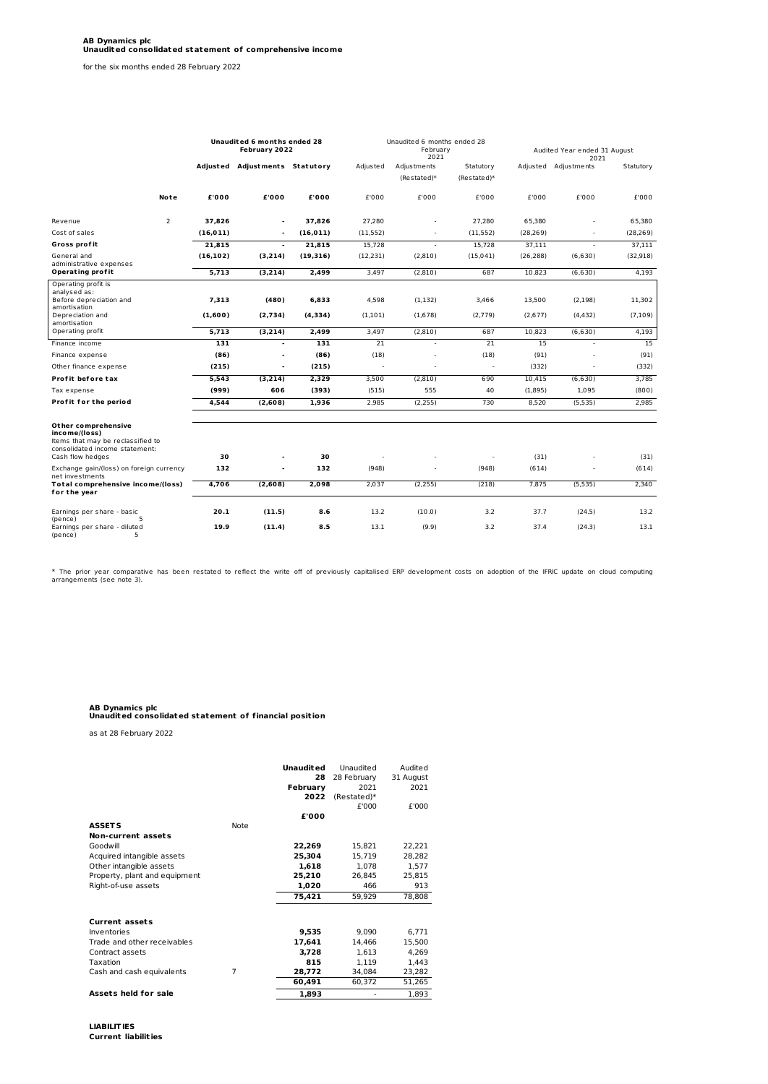for the six months ended 28 February 2022

|                                                                                                                                 |                | Unaudited 6 months ended 28<br>February 2022 |                                |                   | Unaudited 6 months ended 28<br>February<br>2021 |                          |                  | Audited Year ended 31 August<br>2021 |                          |                    |
|---------------------------------------------------------------------------------------------------------------------------------|----------------|----------------------------------------------|--------------------------------|-------------------|-------------------------------------------------|--------------------------|------------------|--------------------------------------|--------------------------|--------------------|
|                                                                                                                                 |                |                                              | Adjusted Adjustments Statutory |                   | Adjusted                                        | Adjustments              | Statutory        |                                      | Adjusted Adjustments     | Statutory          |
|                                                                                                                                 |                |                                              |                                |                   |                                                 | $(Restate d)*$           | (Restated)*      |                                      |                          |                    |
|                                                                                                                                 | Note           | £'000                                        | £'000                          | £'000             | £'000                                           | £'000                    | £'000            | £'000                                | £'000                    | £'000              |
| Revenue                                                                                                                         | $\overline{2}$ | 37,826                                       | ٠                              | 37,826            | 27,280                                          | ÷                        | 27,280           | 65,380                               | $\overline{a}$           | 65,380             |
| Cost of sales                                                                                                                   |                | (16, 011)                                    | $\overline{\phantom{a}}$       | (16, 011)         | (11, 552)                                       | $\overline{a}$           | (11, 552)        | (28, 269)                            | $\overline{\phantom{a}}$ | (28, 269)          |
| Gross profit                                                                                                                    |                | 21.815                                       | $\blacksquare$                 | 21,815            | 15.728                                          | $\sim$                   | 15.728           | 37.111                               | $\overline{\phantom{a}}$ | 37,111             |
| General and<br>administrative expenses                                                                                          |                | (16, 102)                                    | (3,214)                        | (19, 316)         | (12, 231)                                       | (2,810)                  | (15, 041)        | (26, 288)                            | (6,630)                  | (32, 918)          |
| Operating profit                                                                                                                |                | 5,713                                        | (3,214)                        | 2,499             | 3,497                                           | (2,810)                  | 687              | 10,823                               | (6,630)                  | 4,193              |
| Operating profit is<br>analysed as:<br>Before depreciation and<br>amortis ation<br>Depreciation and<br>amortis ation            |                | 7,313<br>(1,600)                             | (480)<br>(2,734)               | 6,833<br>(4, 334) | 4,598<br>(1, 101)                               | (1, 132)<br>(1,678)      | 3,466<br>(2,779) | 13,500<br>(2,677)                    | (2, 198)<br>(4, 432)     | 11,302<br>(7, 109) |
| Operating profit                                                                                                                |                | 5,713                                        | (3,214)                        | 2,499             | 3,497                                           | (2,810)                  | 687              | 10,823                               | (6,630)                  | 4,193              |
| Finance income                                                                                                                  |                | 131                                          | ٠                              | 131               | 21                                              | $\overline{\phantom{a}}$ | 21               | 15                                   |                          | 15                 |
| Finance expense                                                                                                                 |                | (86)                                         | $\overline{a}$                 | (86)              | (18)                                            | ä,                       | (18)             | (91)                                 |                          | (91)               |
| Other finance expense                                                                                                           |                | (215)                                        | $\overline{a}$                 | (215)             | ä,                                              | ÷.                       | $\sim$           | (332)                                |                          | (332)              |
| Profit before tax                                                                                                               |                | 5,543                                        | (3, 214)                       | 2,329             | 3,500                                           | (2,810)                  | 690              | 10.415                               | (6,630)                  | 3,785              |
| Tax expense                                                                                                                     |                | (999)                                        | 606                            | (393)             | (515)                                           | 555                      | 40               | (1,895)                              | 1,095                    | (800)              |
| Profit for the period                                                                                                           |                | 4.544                                        | (2,608)                        | 1,936             | 2,985                                           | (2,255)                  | 730              | 8.520                                | (5, 535)                 | 2,985              |
| Other comprehensive<br>income/(loss)<br>Items that may be reclassified to<br>consolidated income statement:<br>Cash flow hedges |                | 30                                           |                                | 30                | ä,                                              |                          | $\sim$           | (31)                                 |                          | (31)               |
| Exchange gain/(loss) on foreign currency                                                                                        |                | 132                                          | $\overline{\phantom{a}}$       | 132               | (948)                                           | $\overline{a}$           | (948)            | (614)                                | $\bar{\phantom{a}}$      | (614)              |
| net investments<br>Total comprehensive income/(loss)<br>for the year                                                            |                | 4,706                                        | (2,608)                        | 2,098             | 2,037                                           | (2,255)                  | (218)            | 7,875                                | (5,535)                  | 2,340              |
| Earnings per share - basic<br>5<br>(pence)                                                                                      |                | 20.1                                         | (11.5)                         | 8.6               | 13.2                                            | (10.0)                   | 3.2              | 37.7                                 | (24.5)                   | 13.2               |
| Earnings per share - diluted<br>5<br>(pence)                                                                                    |                | 19.9                                         | (11.4)                         | 8.5               | 13.1                                            | (9.9)                    | 3.2              | 37.4                                 | (24.3)                   | 13.1               |

\* The prior year comparative has been restated to reflect the write off of previously capitalised ERP development costs on adoption of the IFRIC update on cloud computing arrangements (see note 3).

# **AB Dynamics plc Unaudited consolidated statement of financial posit ion**

as at 28 February 2022

|                               |             | <b>Unaudited</b> | Unaudited   | Audited   |
|-------------------------------|-------------|------------------|-------------|-----------|
|                               |             | 28               | 28 February | 31 August |
|                               |             | February         | 2021        | 2021      |
|                               |             | 2022             | (Restated)* |           |
|                               |             |                  | £'000       | £'000     |
|                               |             | £'000            |             |           |
| <b>ASSETS</b>                 | <b>Note</b> |                  |             |           |
| Non-current assets            |             |                  |             |           |
| Goodwill                      |             | 22,269           | 15,821      | 22,221    |
| Acquired intangible assets    |             | 25.304           | 15,719      | 28,282    |
| Other intangible assets       |             | 1.618            | 1.078       | 1,577     |
| Property, plant and equipment |             | 25,210           | 26.845      | 25,815    |
| Right-of-use assets           |             | 1.020            | 466         | 913       |
|                               |             | 75,421           | 59,929      | 78,808    |
|                               |             |                  |             |           |
| <b>Current assets</b>         |             |                  |             |           |
| Inventories                   |             | 9,535            | 9,090       | 6,771     |
| Trade and other receivables   |             | 17,641           | 14,466      | 15,500    |
| Contract assets               |             | 3,728            | 1,613       | 4,269     |
| Taxation                      |             | 815              | 1,119       | 1,443     |
| Cash and cash equivalents     | 7           | 28,772           | 34,084      | 23,282    |
|                               |             | 60,491           | 60,372      | 51,265    |
| Assets held for sale          |             | 1,893            |             | 1,893     |

**LIABILITIES Current liabilit ies**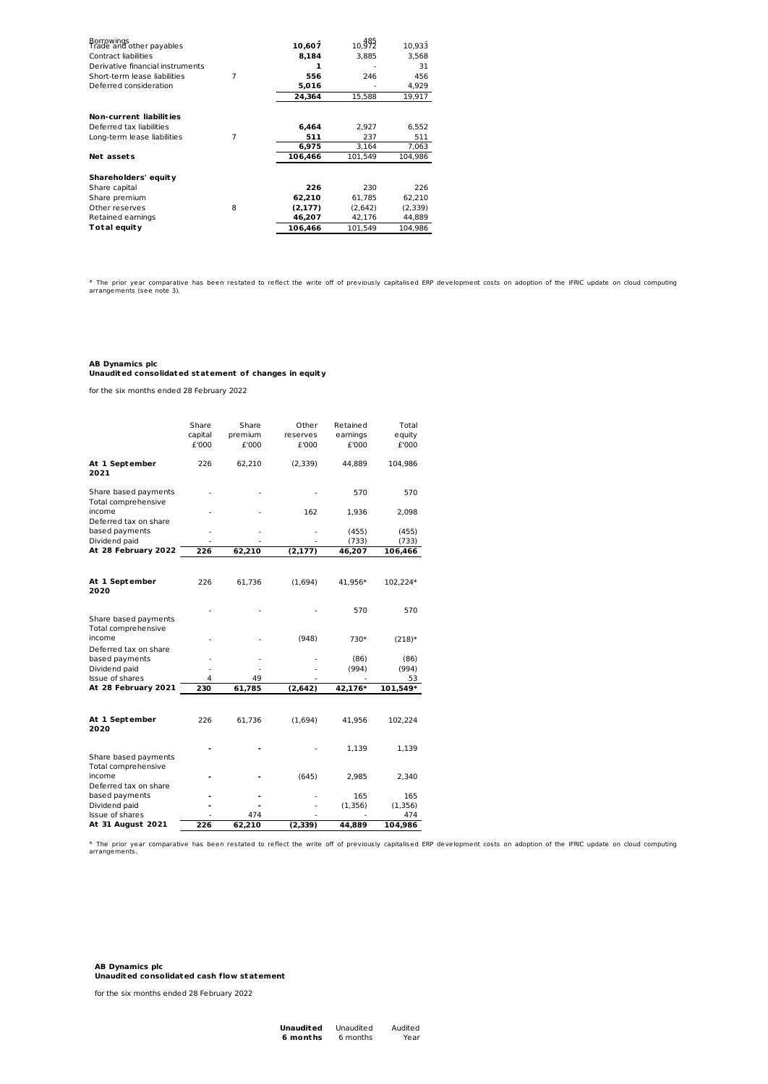| Borrowings<br>Trade and other payables |   | 10.607  | 10, 392 | 10.933  |
|----------------------------------------|---|---------|---------|---------|
| Contract liabilities                   |   | 8,184   | 3,885   | 3.568   |
| Derivative financial instruments       |   | 1       |         | 31      |
| Short-term lease liabilities           | 7 | 556     | 246     | 456     |
| Deferred consideration                 |   | 5,016   |         | 4,929   |
|                                        |   | 24.364  | 15.588  | 19.917  |
|                                        |   |         |         |         |
| Non-current liabilities                |   |         |         |         |
| Deferred tax liabilities               |   | 6,464   | 2,927   | 6,552   |
| Long-term lease liabilities            | 7 | 511     | 237     | 511     |
|                                        |   | 6.975   | 3.164   | 7,063   |
| Net assets                             |   | 106,466 | 101,549 | 104.986 |
|                                        |   |         |         |         |
| Shareholders' equity                   |   |         |         |         |
| Share capital                          |   | 226     | 230     | 226     |
| Share premium                          |   | 62,210  | 61.785  | 62,210  |
| Other reserves                         | 8 | (2.177) | (2.642) | (2,339) |
| Retained earnings                      |   | 46,207  | 42,176  | 44,889  |
| Total equity                           |   | 106.466 | 101.549 | 104.986 |

\* The prior year comparative has been restated to reflect the write off of previously capitalised ERP development costs on adoption of the IFRIC update on cloud computing arrangements (see note 3).

# **AB Dynamics plc Unaudited consolidated statement of changes in equity**

for the six months ended 28 February 2022

|                                             | Share<br>capital<br>£'000 | Share<br>premium<br>£'000 | Other<br>reserves<br>£'000 | Retained<br>earnings<br>£'000 | Total<br>equity<br>£'000 |
|---------------------------------------------|---------------------------|---------------------------|----------------------------|-------------------------------|--------------------------|
| At 1 September<br>2021                      | 226                       | 62,210                    | (2,339)                    | 44,889                        | 104,986                  |
| Share based payments<br>Total comprehensive |                           |                           |                            | 570                           | 570                      |
| income<br>Deferred tax on share             |                           |                           | 162                        | 1,936                         | 2,098                    |
| based payments<br>Dividend paid             |                           |                           |                            | (455)<br>(733)                | (455)<br>(733)           |
| At 28 February 2022                         | 226                       | 62,210                    | (2, 177)                   | 46,207                        | 106,466                  |
|                                             |                           |                           |                            |                               |                          |
| At 1 September<br>2020                      | 226                       | 61,736                    | (1,694)                    | 41,956*                       | 102,224*                 |
| Share based payments                        |                           |                           |                            | 570                           | 570                      |
| Total comprehensive<br>income               |                           |                           | (948)                      | 730*                          | $(218)*$                 |
| Deferred tax on share<br>based payments     |                           |                           |                            | (86)                          | (86)                     |
| Dividend paid<br>Issue of shares            | 4                         | 49                        |                            | (994)                         | (994)<br>53              |
| At 28 February 2021                         | 230                       | 61,785                    | (2,642)                    | 42,176*                       | 101,549*                 |
|                                             |                           |                           |                            |                               |                          |
| At 1 September<br>2020                      | 226                       | 61,736                    | (1,694)                    | 41,956                        | 102,224                  |
| Share based payments                        |                           |                           |                            | 1,139                         | 1,139                    |
| Total comprehensive<br>income               |                           |                           | (645)                      | 2,985                         | 2,340                    |
| Deferred tax on share<br>based payments     |                           |                           |                            | 165                           | 165                      |
| Dividend paid                               |                           |                           |                            | (1, 356)                      | (1, 356)                 |
| Issue of shares<br>At 31 August 2021        | 226                       | 474<br>62,210             | (2, 339)                   | 44,889                        | 474<br>104,986           |

\* The prior year comparative has been restated to reflect the write off of previously capitalised ERP development costs on adoption of the IFRIC update on cloud computing arrangements.

**AB Dynamics plc Unaudited consolidated cash flow statement**

for the six months ended 28 February 2022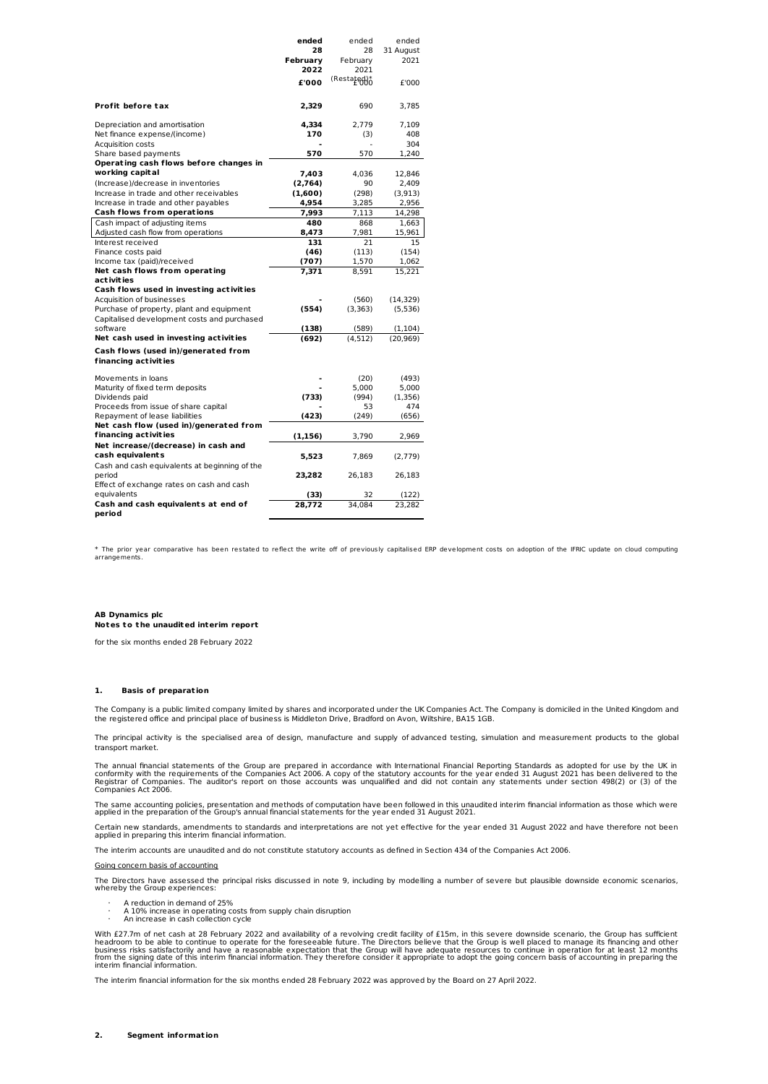|                                                             | ended    | ended        | ended     |
|-------------------------------------------------------------|----------|--------------|-----------|
|                                                             | 28       | 28           | 31 August |
|                                                             | Februarv | February     | 2021      |
|                                                             | 2022     | 2021         |           |
|                                                             | £'000    | (Restated) o | £'000     |
| Profit before tax                                           | 2,329    | 690          | 3.785     |
|                                                             |          |              |           |
| Depreciation and amortisation                               | 4,334    | 2.779        | 7.109     |
| Net finance expense/(income)                                | 170      | (3)          | 408       |
| Acquisition costs                                           |          | ä,           | 304       |
| Share based payments                                        | 570      | 570          | 1,240     |
| Operating cash flows before changes in                      |          |              |           |
| working capital                                             | 7,403    | 4,036        | 12,846    |
| (Increase)/decrease in inventories                          | (2,764)  | 90           | 2,409     |
| Increase in trade and other receivables                     | (1,600)  | (298)        | (3, 913)  |
| Increase in trade and other payables                        | 4,954    | 3,285        | 2,956     |
| <b>Cash flows from operations</b>                           | 7,993    | 7,113        | 14,298    |
| Cash impact of adjusting items                              | 480      | 868          | 1,663     |
| Adjusted cash flow from operations                          | 8.473    | 7,981        | 15.961    |
| Interest received                                           | 131      | 21           | 15        |
| Finance costs paid                                          | (46)     | (113)        | (154)     |
| Income tax (paid)/received                                  | (707)    | 1,570        | 1,062     |
| Net cash flows from operating                               | 7,371    | 8,591        | 15,221    |
| act ivit ies                                                |          |              |           |
| Cash flows used in investing activities                     |          |              |           |
| Acquisition of businesses                                   |          | (560)        | (14, 329) |
| Purchase of property, plant and equipment                   | (554)    | (3, 363)     | (5, 536)  |
| Capitalised development costs and purchased                 |          |              |           |
| software                                                    | (138)    | (589)        | (1, 104)  |
| Net cash used in investing activities                       | (692)    | (4.512)      | (20.969)  |
| Cash flows (used in)/generated from<br>financing activities |          |              |           |
|                                                             |          |              |           |
| Movements in loans                                          |          | (20)         | (493)     |
| Maturity of fixed term deposits                             |          | 5,000        | 5,000     |
| Dividends paid                                              | (733)    | (994)        | (1,356)   |
| Proceeds from issue of share capital                        |          | 53           | 474       |
| Repayment of lease liabilities                              | (423)    | (249)        | (656)     |
| Net cash flow (used in)/generated from                      |          |              |           |
| financing activities                                        | (1, 156) | 3,790        | 2,969     |
| Net increase/(decrease) in cash and                         |          |              |           |
| cash equivalents                                            | 5,523    | 7,869        | (2,779)   |
| Cash and cash equivalents at beginning of the               |          |              |           |
| period                                                      | 23,282   | 26,183       | 26,183    |
| Effect of exchange rates on cash and cash                   |          |              |           |
| equivalents                                                 | (33)     | 32           | (122)     |
| Cash and cash equivalents at end of<br>period               | 28,772   | 34.084       | 23.282    |
|                                                             |          |              |           |

\* The prior year comparative has been restated to reflect the write off of previously capitalised ERP development costs on adoption of the IFRIC update on cloud computing arrangements.

# **AB Dynamics plc Notes to t he unaudited interim report**

for the six months ended 28 February 2022

# **1. Basis of preparat ion**

The Company is a public limited company limited by shares and incorporated under the UK Companies Act. The Company is domiciled in the United Kingdom and the registered office and principal place of business is Middleton Drive, Bradford on Avon, Wiltshire, BA15 1GB.

The principal activity is the specialised area of design, manufacture and supply of advanced testing, simulation and measurement products to the global transport market.

The annual financial statements of the Group are prepared in accordance with International Financial Reporting Standards as adopted for use by the UK in<br>conformity with the requirements of the Companies Act 2006. A copy of Registrar of Companies. The auditor's report on those accounts was unqualified and did not contain any statements under section 498(2) or (3) of the<br>Companies Act 2006.

The same accounting policies, presentation and methods of computation have been followed in this unaudited interim financial information as those which were<br>applied in the preparation of the Group's annual financial statem

Certain new standards, amendments to standards and interpretations are not yet effective for the year ended 31 August 2022 and have therefore not been applied in preparing this interim financial information.

The interim accounts are unaudited and do not constitute statutory accounts as defined in Section 434 of the Companies Act 2006.

#### Going concern basis of accounting

The Directors have assessed the principal risks discussed in note 9, including by modelling a number of severe but plausible downside economic scenarios,<br>whereby the Group experiences:

- 
- · A reduction in demand of 25% · A 10% increase in operating costs from supply chain disruption · An increase in cash collection cycle

With £27.7m of net cash at 28 February 2022 and availability of a revolving credit facility of £15m, in this severe downside scenario, the Group has sufficient<br>headroom to be able to continue to operate for the foreseeable

The interim financial information for the six months ended 28 February 2022 was approved by the Board on 27 April 2022.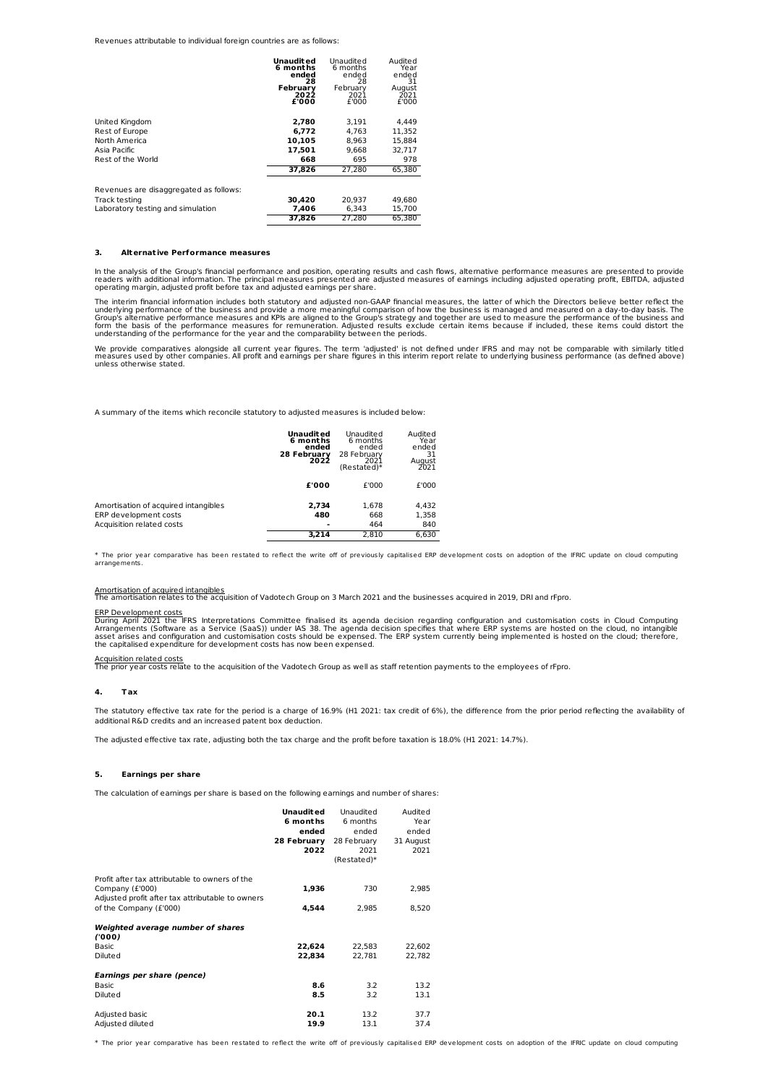Revenues attributable to individual foreign countries are as follows:

|                                        | Unaudited<br>6 months<br>ended<br>28 | Unaudited<br>6 months<br>ended<br>28 | Audited<br>Year<br>ended<br>31 |
|----------------------------------------|--------------------------------------|--------------------------------------|--------------------------------|
|                                        | February<br>2022<br>£'000            | February<br>2021<br>£'000            | August<br>2021<br>£'000        |
| United Kingdom                         | 2,780                                | 3.191                                | 4.449                          |
| Rest of Europe                         | 6.772                                | 4.763                                | 11,352                         |
| North America                          | 10.105                               | 8.963                                | 15.884                         |
| Asia Pacific                           | 17.501                               | 9.668                                | 32.717                         |
| Rest of the World                      | 668                                  | 695                                  | 978                            |
|                                        | 37.826                               | 27.280                               | 65.380                         |
| Revenues are disaggregated as follows: |                                      |                                      |                                |
| Track testing                          | 30.420                               | 20.937                               | 49.680                         |
| Laboratory testing and simulation      | 7.406                                | 6.343                                | 15,700                         |
|                                        | 37.826                               | 27.280                               | 65.380                         |

#### **3. Alternat ive Performance measures**

In the analysis of the Group's financial performance and position, operating results and cash flows, alternative performance measures are presented to provide<br>readers with additional information. The principal measures pre

The interim financial information includes both statutory and adjusted non-GAAP financial measures, the latter of which the Directors believe better reflect the<br>underlying performance of the business and provide a more mea

We provide comparatives alongside all current year figures. The term 'adjusted' is not defined under IFRS and may not be comparable with similarly titled<br>measures used by other companies. All profit and earnings per share

A summary of the items which reconcile statutory to adjusted measures is included below:

|                                                                                            | Unaudit ed<br>6 months<br>ended<br>28 February<br>2022 | Unaudited<br>6 months<br>ended<br>28 February<br>2021<br>(Restated)* | Audited<br>Year<br>ended<br>31<br>August<br>2021 |
|--------------------------------------------------------------------------------------------|--------------------------------------------------------|----------------------------------------------------------------------|--------------------------------------------------|
|                                                                                            | £'000                                                  | £'000                                                                | £'000                                            |
| Amortisation of acquired intangibles<br>ERP development costs<br>Acquisition related costs | 2,734<br>480                                           | 1.678<br>668<br>464                                                  | 4,432<br>1,358<br>840                            |
|                                                                                            | 3,214                                                  | 2.810                                                                | 6.630                                            |

\* The prior year comparative has been restated to reflect the write off of previously capitalised ERP development costs on adoption of the IFRIC update on cloud computing arrangemen

Amortisation of acquired intangibles<br>The amortisation relates to the acquisition of Vadotech Group on 3 March 2021 and the businesses acquired in 2019, DRI and rFpro.

ERP Development costs<br>During April 2021 the IFRS Interpretations Committee finalised its agenda decision regarding configuration and customisation costs in Cloud Computing<br>Arrangements (Software as a Service (SaaS)) under

Acquisition related costs<br>The prior year costs relate to the acquisition of the Vadotech Group as well as staff retention payments to the employees of rFpro.

#### **4. Tax**

The statutory effective tax rate for the period is a charge of 16.9% (H1 2021: tax credit of 6%), the difference from the prior period reflecting the availability of<br>additional R&D credits and an increased patent box deduc

The adjusted effective tax rate, adjusting both the tax charge and the profit before taxation is 18.0% (H1 2021: 14.7%).

### **5. Earnings per share**

The calculation of earnings per share is based on the following earnings and number of shares:

|                                                                                                                                                 | Unaudit ed<br>6 months<br>ended<br>28 February<br>2022 | Unaudited<br>6 months<br>ended<br>28 February<br>2021<br>(Restated)* | Audited<br>Year<br>ended<br>31 August<br>2021 |
|-------------------------------------------------------------------------------------------------------------------------------------------------|--------------------------------------------------------|----------------------------------------------------------------------|-----------------------------------------------|
| Profit after tax attributable to owners of the<br>Company (£'000)<br>Adjusted profit after tax attributable to owners<br>of the Company (£'000) | 1,936<br>4,544                                         | 730<br>2,985                                                         | 2,985<br>8,520                                |
| Weighted average number of shares<br>(000)<br><b>Basic</b>                                                                                      | 22,624                                                 | 22,583                                                               | 22,602                                        |
| Diluted<br>Earnings per share (pence)<br>Basic                                                                                                  | 22.834<br>8.6                                          | 22.781<br>3.2                                                        | 22.782<br>13.2                                |
| Diluted<br>Adjusted basic<br>Adjusted diluted                                                                                                   | 8.5<br>20.1<br>19.9                                    | 3.2<br>13.2<br>13.1                                                  | 13.1<br>37.7<br>37.4                          |

\* The prior year comparative has been restated to reflect the write off of previously capitalised ERP development costs on adoption of the IFRIC update on cloud computing